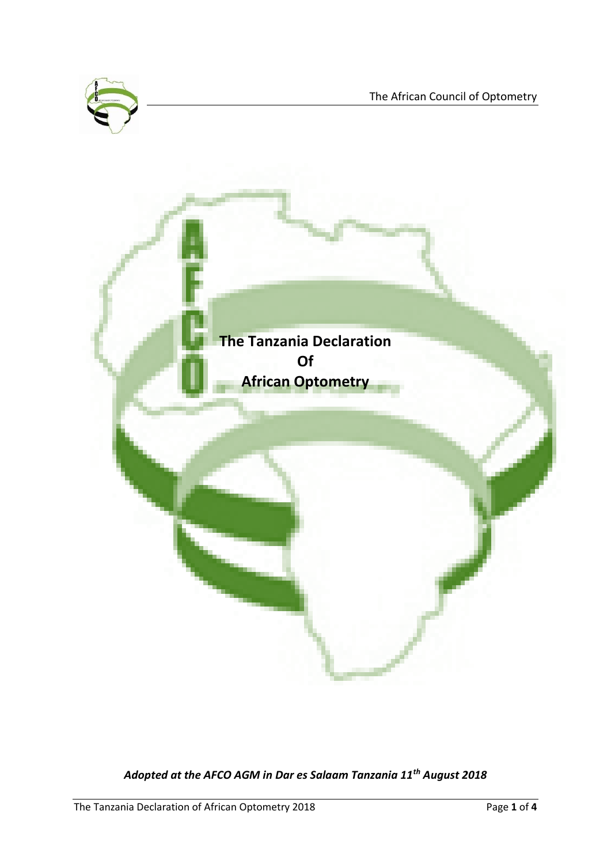



*Adopted at the AFCO AGM in Dar es Salaam Tanzania 11th August 2018*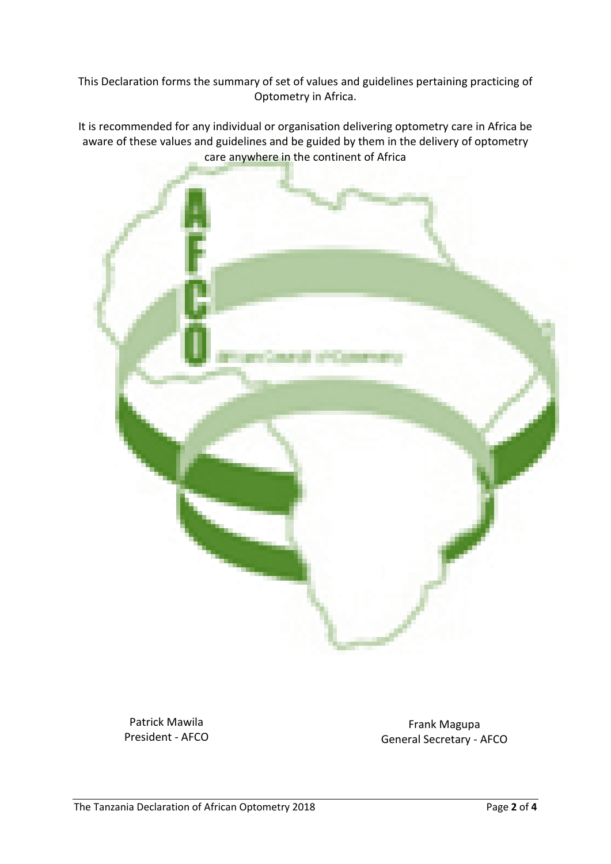This Declaration forms the summary of set of values and guidelines pertaining practicing of Optometry in Africa.

It is recommended for any individual or organisation delivering optometry care in Africa be aware of these values and guidelines and be guided by them in the delivery of optometry care anywhere in the continent of Africa



Patrick Mawila President - AFCO

Frank Magupa General Secretary - AFCO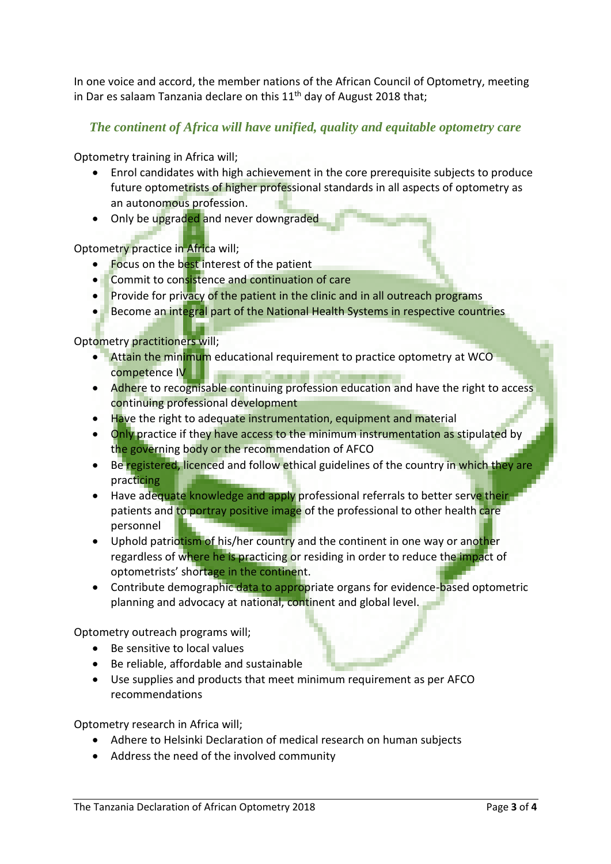In one voice and accord, the member nations of the African Council of Optometry, meeting in Dar es salaam Tanzania declare on this  $11<sup>th</sup>$  day of August 2018 that;

## *The continent of Africa will have unified, quality and equitable optometry care*

Optometry training in Africa will;

- Enrol candidates with high achievement in the core prerequisite subjects to produce future optometrists of higher professional standards in all aspects of optometry as an autonomous profession.
- Only be upgraded and never downgraded

Optometry practice in Africa will;

- **Focus on the best interest of the patient**
- Commit to consistence and continuation of care
- Provide for privacy of the patient in the clinic and in all outreach programs
- Become an integral part of the National Health Systems in respective countries

Optometry practitioners will;

- Attain the minimum educational requirement to practice optometry at WCO competence IV
- Adhere to recognisable continuing profession education and have the right to access continuing professional development
- Have the right to adequate instrumentation, equipment and material
- Only practice if they have access to the minimum instrumentation as stipulated by the governing body or the recommendation of AFCO
- Be registered, licenced and follow ethical guidelines of the country in which they are practicing
- Have adequate knowledge and apply professional referrals to better serve their patients and to portray positive image of the professional to other health care personnel
- Uphold patriotism of his/her country and the continent in one way or another regardless of where he is practicing or residing in order to reduce the impact of optometrists' shortage in the continent.
- Contribute demographic data to appropriate organs for evidence-based optometric planning and advocacy at national, continent and global level.

Optometry outreach programs will;

- Be sensitive to local values
- Be reliable, affordable and sustainable
- Use supplies and products that meet minimum requirement as per AFCO recommendations

Optometry research in Africa will;

- Adhere to Helsinki Declaration of medical research on human subjects
- Address the need of the involved community